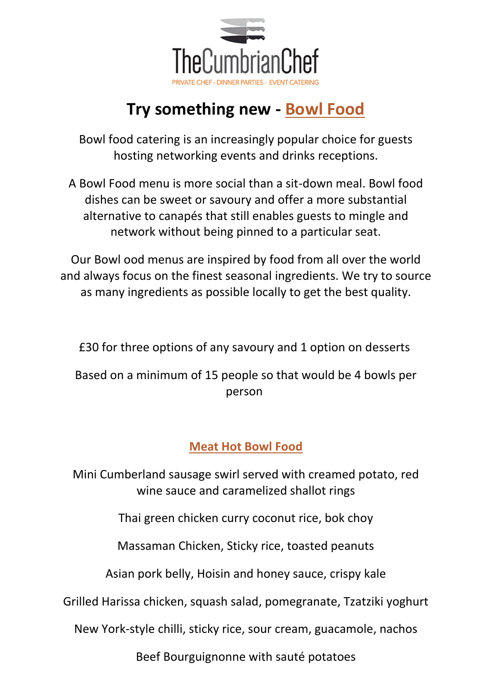

# **Try something new - Bowl Food**

Bowl food catering is an increasingly popular choice for guests hosting networking events and drinks receptions.

A Bowl Food menu is more social than a sit-down meal. Bowl food dishes can be sweet or savoury and offer a more substantial alternative to canapés that still enables guests to mingle and network without being pinned to a particular seat.

Our Bowl ood menus are inspired by food from all over the world and always focus on the finest seasonal ingredients. We try to source as many ingredients as possible locally to get the best quality.

£30 for three options of any savoury and 1 option on desserts

Based on a minimum of 15 people so that would be 4 bowls per person

### **Meat Hot Bowl Food**

Mini Cumberland sausage swirl served with creamed potato, red wine sauce and caramelized shallot rings

Thai green chicken curry coconut rice, bok choy

Massaman Chicken, Sticky rice, toasted peanuts

Asian pork belly, Hoisin and honey sauce, crispy kale

Grilled Harissa chicken, squash salad, pomegranate, Tzatziki yoghurt

New York-style chilli, sticky rice, sour cream, guacamole, nachos

Beef Bourguignonne with sauté potatoes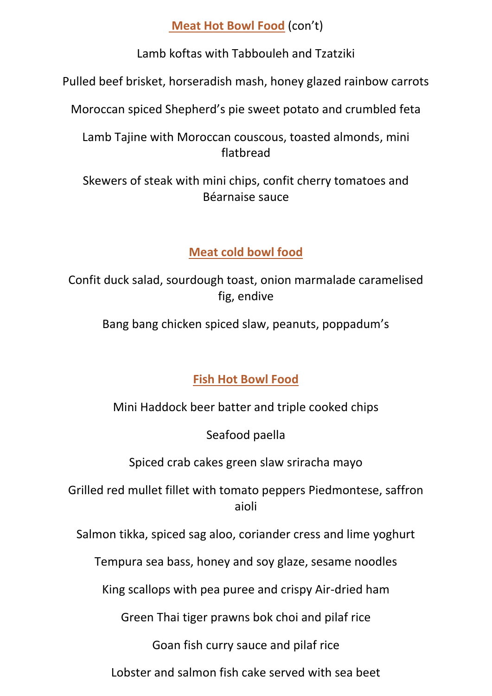**Meat Hot Bowl Food** (con't)

Lamb koftas with Tabbouleh and Tzatziki

Pulled beef brisket, horseradish mash, honey glazed rainbow carrots

Moroccan spiced Shepherd's pie sweet potato and crumbled feta

Lamb Tajine with Moroccan couscous, toasted almonds, mini flatbread

Skewers of steak with mini chips, confit cherry tomatoes and Béarnaise sauce

## **Meat cold bowl food**

Confit duck salad, sourdough toast, onion marmalade caramelised fig, endive

Bang bang chicken spiced slaw, peanuts, poppadum's

# **Fish Hot Bowl Food**

Mini Haddock beer batter and triple cooked chips

Seafood paella

Spiced crab cakes green slaw sriracha mayo

Grilled red mullet fillet with tomato peppers Piedmontese, saffron aioli

Salmon tikka, spiced sag aloo, coriander cress and lime yoghurt

Tempura sea bass, honey and soy glaze, sesame noodles

King scallops with pea puree and crispy Air-dried ham

Green Thai tiger prawns bok choi and pilaf rice

Goan fish curry sauce and pilaf rice

Lobster and salmon fish cake served with sea beet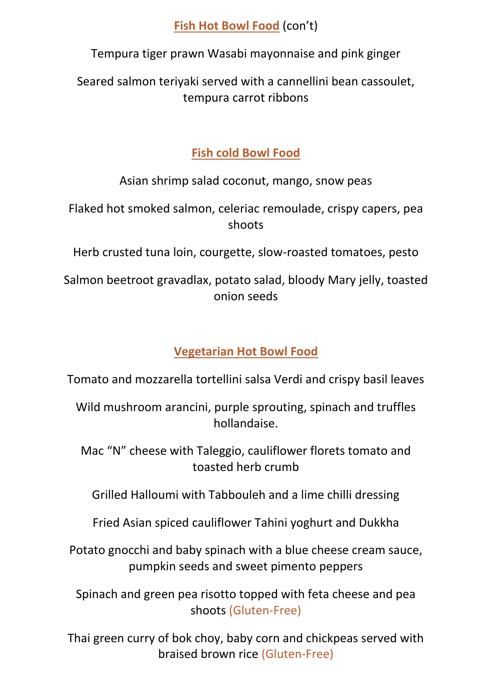#### **Fish Hot Bowl Food** (con't)

Tempura tiger prawn Wasabi mayonnaise and pink ginger

Seared salmon teriyaki served with a cannellini bean cassoulet, tempura carrot ribbons

## **Fish cold Bowl Food**

Asian shrimp salad coconut, mango, snow peas

Flaked hot smoked salmon, celeriac remoulade, crispy capers, pea shoots

Herb crusted tuna loin, courgette, slow-roasted tomatoes, pesto

Salmon beetroot gravadlax, potato salad, bloody Mary jelly, toasted onion seeds

# **Vegetarian Hot Bowl Food**

Tomato and mozzarella tortellini salsa Verdi and crispy basil leaves

Wild mushroom arancini, purple sprouting, spinach and truffles hollandaise.

Mac "N" cheese with Taleggio, cauliflower florets tomato and toasted herb crumb

Grilled Halloumi with Tabbouleh and a lime chilli dressing

Fried Asian spiced cauliflower Tahini yoghurt and Dukkha

Potato gnocchi and baby spinach with a blue cheese cream sauce, pumpkin seeds and sweet pimento peppers

Spinach and green pea risotto topped with feta cheese and pea shoots (Gluten-Free)

Thai green curry of bok choy, baby corn and chickpeas served with braised brown rice (Gluten-Free)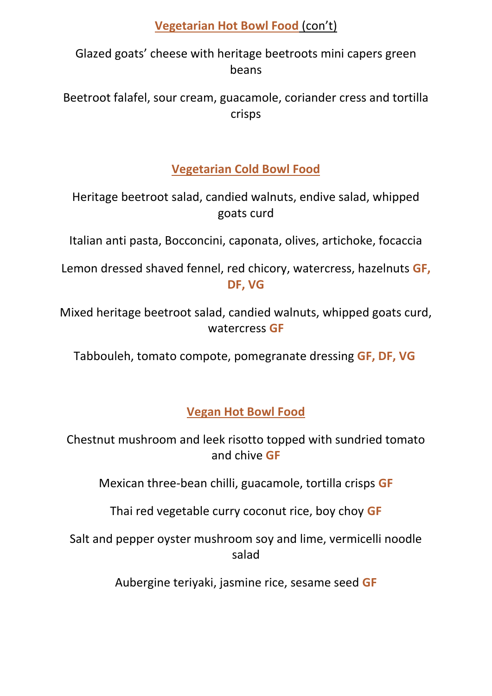#### **Vegetarian Hot Bowl Food** (con't)

Glazed goats' cheese with heritage beetroots mini capers green beans

Beetroot falafel, sour cream, guacamole, coriander cress and tortilla crisps

**Vegetarian Cold Bowl Food**

Heritage beetroot salad, candied walnuts, endive salad, whipped goats curd

Italian anti pasta, Bocconcini, caponata, olives, artichoke, focaccia

Lemon dressed shaved fennel, red chicory, watercress, hazelnuts **GF, DF, VG**

Mixed heritage beetroot salad, candied walnuts, whipped goats curd, watercress **GF**

Tabbouleh, tomato compote, pomegranate dressing **GF, DF, VG**

**Vegan Hot Bowl Food**

Chestnut mushroom and leek risotto topped with sundried tomato and chive **GF**

Mexican three-bean chilli, guacamole, tortilla crisps **GF**

Thai red vegetable curry coconut rice, boy choy **GF**

Salt and pepper oyster mushroom soy and lime, vermicelli noodle salad

Aubergine teriyaki, jasmine rice, sesame seed **GF**